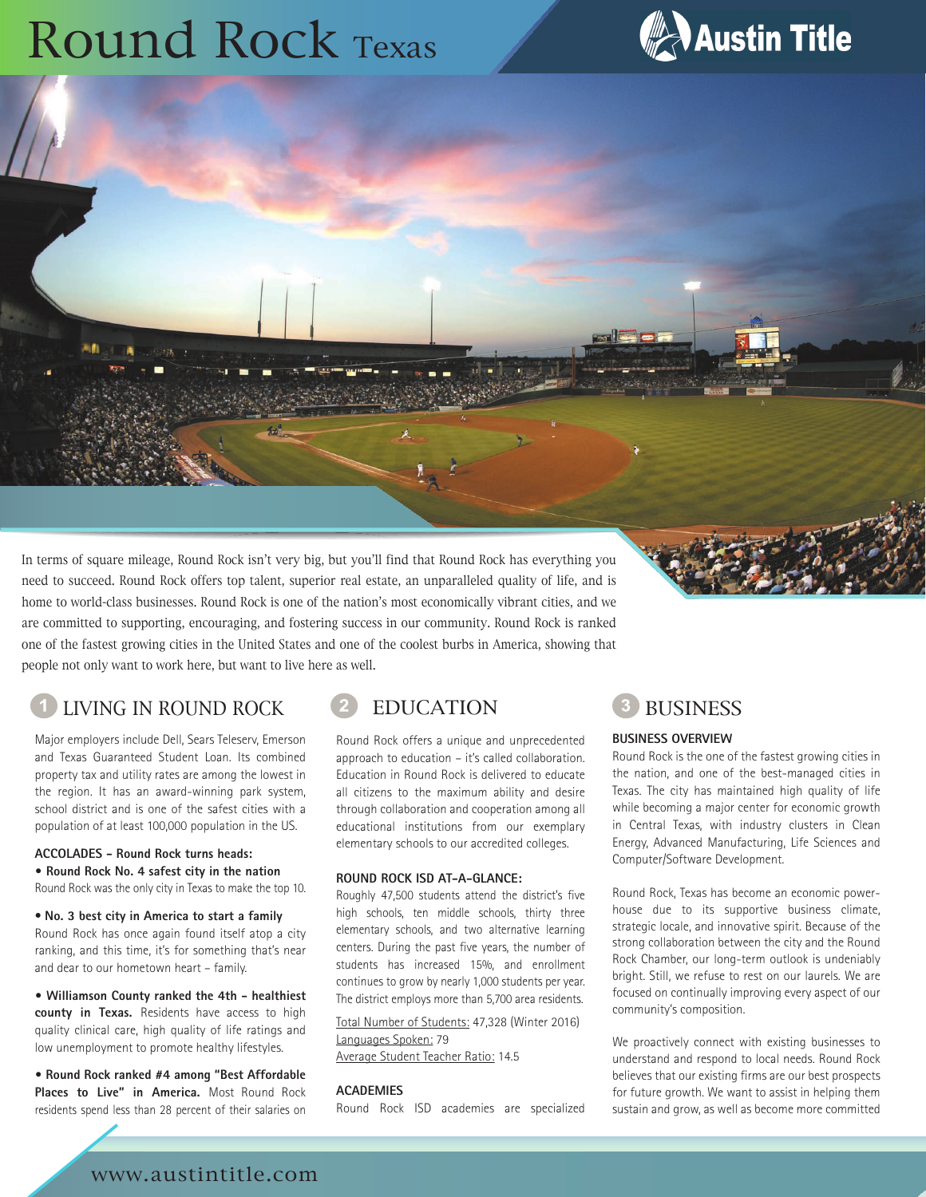# Round Rock Texas



In terms of square mileage, Round Rock isn't very big, but you'll find that Round Rock has everything you need to succeed. Round Rock offers top talent, superior real estate, an unparalleled quality of life, and is home to world-class businesses. Round Rock is one of the nation's most economically vibrant cities, and we are committed to supporting, encouraging, and fostering success in our community. Round Rock is ranked one of the fastest growing cities in the United States and one of the coolest burbs in America, showing that people not only want to work here, but want to live here as well.

## LIVING IN ROUND ROCK 2 EDUCATION 3 BUSINESS

Major employers include Dell, Sears Teleserv, Emerson and Texas Guaranteed Student Loan. Its combined property tax and utility rates are among the lowest in the region. It has an award-winning park system, school district and is one of the safest cities with a population of at least 100,000 population in the US.

#### **ACCOLADES - Round Rock turns heads: • Round Rock No. 4 safest city in the nation**

Round Rock was the only city in Texas to make the top 10.

#### • **No. 3 best city in America to start a family**

Round Rock has once again found itself atop a city ranking, and this time, it's for something that's near and dear to our hometown heart – family.

**• Williamson County ranked the 4th - healthiest county in Texas.** Residents have access to high quality clinical care, high quality of life ratings and low unemployment to promote healthy lifestyles.

**• Round Rock ranked #4 among "Best Affordable Places to Live" in America.** Most Round Rock residents spend less than 28 percent of their salaries on

Round Rock offers a unique and unprecedented approach to education – it's called collaboration. Education in Round Rock is delivered to educate all citizens to the maximum ability and desire through collaboration and cooperation among all educational institutions from our exemplary elementary schools to our accredited colleges.

### **ROUND ROCK ISD AT-A-GLANCE:**

Roughly 47,500 students attend the district's five high schools, ten middle schools, thirty three elementary schools, and two alternative learning centers. During the past five years, the number of students has increased 15%, and enrollment continues to grow by nearly 1,000 students per year. The district employs more than 5,700 area residents.

Total Number of Students: 47,328 (Winter 2016) Languages Spoken: 79 Average Student Teacher Ratio: 14.5

**ACADEMIES**

Round Rock ISD academies are specialized

#### **BUSINESS OVERVIEW**

Round Rock is the one of the fastest growing cities in the nation, and one of the best-managed cities in Texas. The city has maintained high quality of life while becoming a major center for economic growth in Central Texas, with industry clusters in Clean Energy, Advanced Manufacturing, Life Sciences and Computer/Software Development.

Round Rock, Texas has become an economic powerhouse due to its supportive business climate, strategic locale, and innovative spirit. Because of the strong collaboration between the city and the Round Rock Chamber, our long-term outlook is undeniably bright. Still, we refuse to rest on our laurels. We are focused on continually improving every aspect of our community's composition.

We proactively connect with existing businesses to understand and respond to local needs. Round Rock believes that our existing firms are our best prospects for future growth. We want to assist in helping them sustain and grow, as well as become more committed